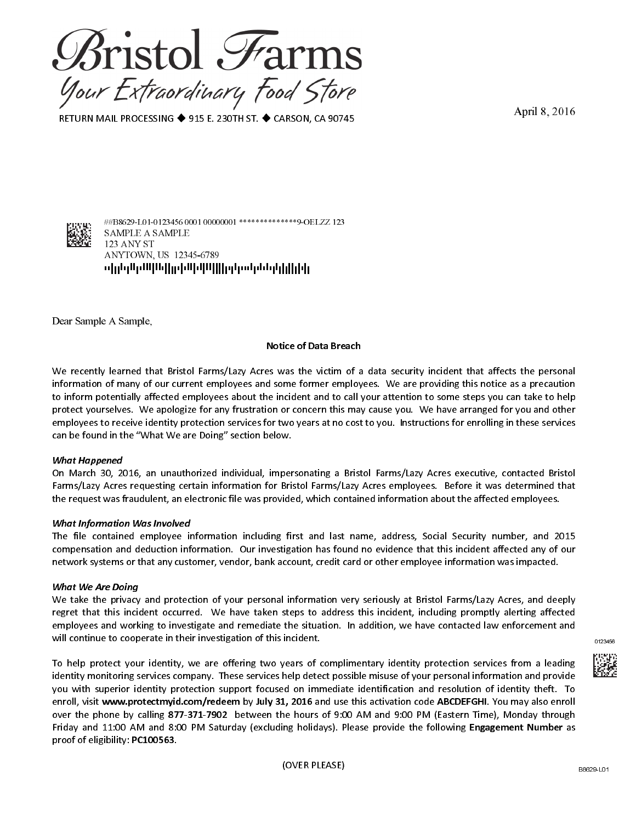

RETURN MAIL PROCESSING ◆ 915 E. 230TH ST. ◆ CARSON, CA 90745

April 8, 2016



#B8629-L01-0123456 0001 00000001 \*\*\*\*\*\*\*\*\*\*\*\*\*\*9-OELZZ 123 SAMPLE A SAMPLE 123 ANY ST ANYTOWN, US 12345-6789 ոկվղկներին կրթինինինինի կազմակվղկիցի

Dear Sample A Sample,

#### **Notice of Data Breach**

We recently learned that Bristol Farms/Lazy Acres was the victim of a data security incident that affects the personal information of many of our current employees and some former employees. We are providing this notice as a precaution to inform potentially affected employees about the incident and to call your attention to some steps you can take to help protect yourselves. We apologize for any frustration or concern this may cause you. We have arranged for you and other employees to receive identity protection services for two years at no cost to you. Instructions for enrolling in these services can be found in the "What We are Doing" section below.

#### **What Happened**

On March 30, 2016, an unauthorized individual, impersonating a Bristol Farms/Lazy Acres executive, contacted Bristol Farms/Lazy Acres requesting certain information for Bristol Farms/Lazy Acres employees. Before it was determined that the request was fraudulent, an electronic file was provided, which contained information about the affected employees.

#### **What Information Was Involved**

The file contained employee information including first and last name, address, Social Security number, and 2015 compensation and deduction information. Our investigation has found no evidence that this incident affected any of our network systems or that any customer, vendor, bank account, credit card or other employee information was impacted.

#### **What We Are Doing**

We take the privacy and protection of your personal information very seriously at Bristol Farms/Lazy Acres, and deeply regret that this incident occurred. We have taken steps to address this incident, including promptly alerting affected employees and working to investigate and remediate the situation. In addition, we have contacted law enforcement and will continue to cooperate in their investigation of this incident.

To help protect your identity, we are offering two years of complimentary identity protection services from a leading identity monitoring services company. These services help detect possible misuse of your personal information and provide you with superior identity protection support focused on immediate identification and resolution of identity theft. To enroll, visit www.protectmyid.com/redeem by July 31, 2016 and use this activation code ABCDEFGHI. You may also enroll over the phone by calling 877-371-7902 between the hours of 9:00 AM and 9:00 PM (Eastern Time), Monday through Friday and 11:00 AM and 8:00 PM Saturday (excluding holidays). Please provide the following Engagement Number as proof of eligibility: PC100563.

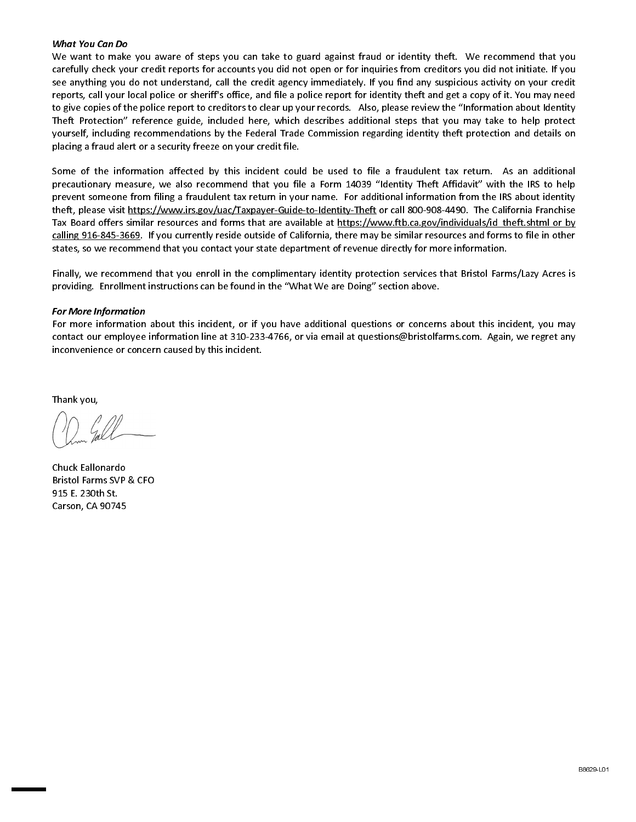## **What You Can Do**

We want to make you aware of steps you can take to guard against fraud or identity theft. We recommend that you carefully check your credit reports for accounts you did not open or for inquiries from creditors you did not initiate. If you see anything you do not understand, call the credit agency immediately. If you find any suspicious activity on your credit reports, call your local police or sheriff's office, and file a police report for identity theft and get a copy of it. You may need to give copies of the police report to creditors to clear up your records. Also, please review the "Information about Identity Theft Protection" reference guide, included here, which describes additional steps that you may take to help protect yourself, including recommendations by the Federal Trade Commission regarding identity theft protection and details on placing a fraud alert or a security freeze on your credit file.

Some of the information affected by this incident could be used to file a fraudulent tax return. As an additional precautionary measure, we also recommend that you file a Form 14039 "Identity Theft Affidavit" with the IRS to help prevent someone from filing a fraudulent tax return in your name. For additional information from the IRS about identity theft, please visit https://www.irs.gov/uac/Taxpayer-Guide-to-Identity-Theft or call 800-908-4490. The California Franchise Tax Board offers similar resources and forms that are available at https://www.ftb.ca.gov/individuals/id\_theft.shtml or by calling 916-845-3669. If you currently reside outside of California, there may be similar resources and forms to file in other states, so we recommend that you contact your state department of revenue directly for more information.

Finally, we recommend that you enroll in the complimentary identity protection services that Bristol Farms/Lazy Acres is providing. Enrollment instructions can be found in the "What We are Doing" section above.

# **For More Information**

For more information about this incident, or if you have additional questions or concerns about this incident, you may contact our employee information line at 310-233-4766, or via email at questions@bristolfarms.com. Again, we regret any inconvenience or concern caused by this incident.

Thank you,

Chuck Eallonardo Bristol Farms SVP & CFO 915 E. 230th St. Carson, CA 90745